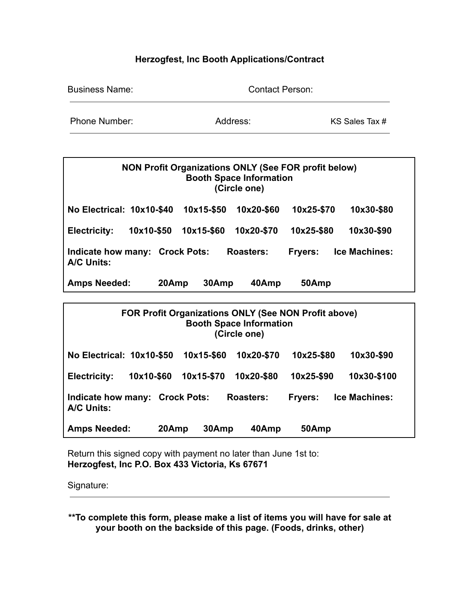## **Herzogfest, Inc Booth Applications/Contract**

| <b>Business Name:</b> |  |
|-----------------------|--|
|                       |  |

Contact Person:

Phone Number: Address: KS Sales Tax #

| <b>NON Profit Organizations ONLY (See FOR profit below)</b><br><b>Booth Space Information</b><br>(Circle one) |       |            |            |            |            |  |  |
|---------------------------------------------------------------------------------------------------------------|-------|------------|------------|------------|------------|--|--|
| No Electrical: 10x10-\$40                                                                                     |       | 10x15-\$50 | 10x20-\$60 | 10x25-\$70 | 10x30-\$80 |  |  |
| 10x10-\$50<br><b>Electricity:</b>                                                                             |       | 10x15-\$60 | 10x20-\$70 | 10x25-\$80 | 10x30-\$90 |  |  |
| <b>Ice Machines:</b><br><b>Roasters:</b><br>Indicate how many: Crock Pots:<br><b>Fryers:</b><br>A/C Units:    |       |            |            |            |            |  |  |
| <b>Amps Needed:</b>                                                                                           | 20Amp | 30Amp      | 40Amp      | 50Amp      |            |  |  |

| <b>FOR Profit Organizations ONLY (See NON Profit above)</b><br><b>Booth Space Information</b><br>(Circle one)     |                          |                |            |             |  |  |  |
|-------------------------------------------------------------------------------------------------------------------|--------------------------|----------------|------------|-------------|--|--|--|
| No Electrical: 10x10-\$50                                                                                         | 10x15-\$60               | 10x20-\$70     | 10x25-\$80 | 10x30-\$90  |  |  |  |
| <b>Electricity:</b>                                                                                               | 10x10-\$60<br>10x15-\$70 | 10x20-\$80     | 10x25-\$90 | 10x30-\$100 |  |  |  |
| <b>Ice Machines:</b><br>Indicate how many: Crock Pots:<br><b>Roasters:</b><br><b>Fryers:</b><br><b>A/C Units:</b> |                          |                |            |             |  |  |  |
| <b>Amps Needed:</b>                                                                                               | 20Amp                    | 30Amp<br>40Amp | 50Amp      |             |  |  |  |

Return this signed copy with payment no later than June 1st to: **Herzogfest, Inc P.O. Box 433 Victoria, Ks 67671**

Signature:

**\*\*To complete this form, please make a list of items you will have for sale at your booth on the backside of this page. (Foods, drinks, other)**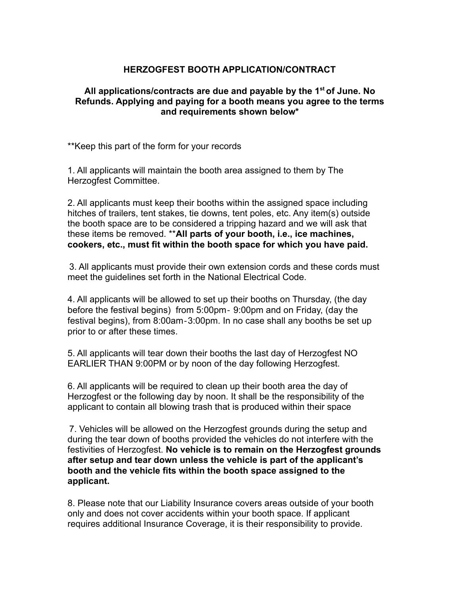## **HERZOGFEST BOOTH APPLICATION/CONTRACT**

## **All applications/contracts are due and payable by the 1st of June. No Refunds. Applying and paying for a booth means you agree to the terms and requirements shown below\***

\*\*Keep this part of the form for your records

1. All applicants will maintain the booth area assigned to them by The Herzogfest Committee.

2. All applicants must keep their booths within the assigned space including hitches of trailers, tent stakes, tie downs, tent poles, etc. Any item(s) outside the booth space are to be considered a tripping hazard and we will ask that these items be removed. \*\***All parts of your booth, i.e., ice machines, cookers, etc., must fit within the booth space for which you have paid.**

3. All applicants must provide their own extension cords and these cords must meet the guidelines set forth in the National Electrical Code.

4. All applicants will be allowed to set up their booths on Thursday, (the day before the festival begins) from 5:00pm‐ 9:00pm and on Friday, (day the festival begins), from 8:00am‐3:00pm. In no case shall any booths be set up prior to or after these times.

5. All applicants will tear down their booths the last day of Herzogfest NO EARLIER THAN 9:00PM or by noon of the day following Herzogfest.

6. All applicants will be required to clean up their booth area the day of Herzogfest or the following day by noon. It shall be the responsibility of the applicant to contain all blowing trash that is produced within their space

7. Vehicles will be allowed on the Herzogfest grounds during the setup and during the tear down of booths provided the vehicles do not interfere with the festivities of Herzogfest. **No vehicle is to remain on the Herzogfest grounds after setup and tear down unless the vehicle is part of the applicant's booth and the vehicle fits within the booth space assigned to the applicant.**

8. Please note that our Liability Insurance covers areas outside of your booth only and does not cover accidents within your booth space. If applicant requires additional Insurance Coverage, it is their responsibility to provide.